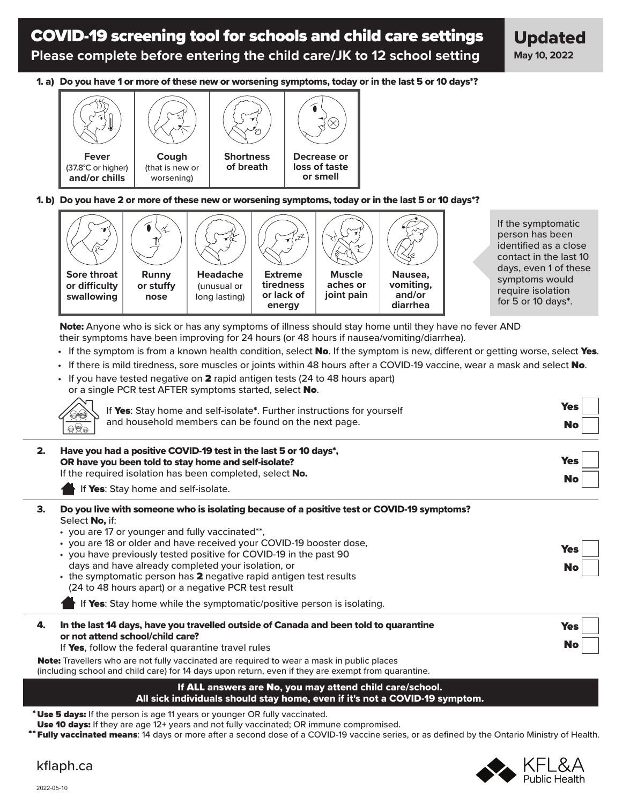# COVID-19 screening tool for schools and child care settings **Please complete before entering the child care/JK to 12 school setting**

1. a) Do you have 1 or more of these new or worsening symptoms, today or in the last 5 or 10 days\*?



#### 1. b) Do you have 2 or more of these new or worsening symptoms, today or in the last 5 or 10 days\*?



If the symptomatic person has been identified as a close contact in the last 10 days, even 1 of these symptoms would require isolation for 5 or 10 days\*.

Г

Note: Anyone who is sick or has any symptoms of illness should stay home until they have no fever AND their symptoms have been improving for 24 hours (or 48 hours if nausea/vomiting/diarrhea).

- If the symptom is from a known health condition, select No. If the symptom is new, different or getting worse, select Yes.
- If there is mild tiredness, sore muscles or joints within 48 hours after a COVID-19 vaccine, wear a mask and select No.

| • If you have tested negative on 2 rapid antigen tests (24 to 48 hours apart) |
|-------------------------------------------------------------------------------|
| or a single PCR test AFTER symptoms started, select <b>No.</b>                |
| $\sqrt{2}$                                                                    |

| If Yes: Stay home and self-isolate*. Further instructions for yourself<br>$\overline{\otimes}$<br>and household members can be found on the next page.<br>$\overline{\mathbb{R}}$    | <b>Yes</b><br><b>No</b> |
|--------------------------------------------------------------------------------------------------------------------------------------------------------------------------------------|-------------------------|
| Have you had a positive COVID-19 test in the last 5 or 10 days*,<br>OR have you been told to stay home and self-isolate?<br>If the required isolation has been completed, select No. | <b>Yes</b>              |
| If Yes: Stay home and self-isolate.                                                                                                                                                  | <b>No</b>               |

- 3. Do you live with someone who is isolating because of a positive test or COVID-19 symptoms? Select No, if:
	- you are 17 or younger and fully vaccinated\*\*,
	- you are 18 or older and have received your COVID-19 booster dose,
	- you have previously tested positive for COVID-19 in the past 90 days and have already completed your isolation, or • the symptomatic person has 2 negative rapid antigen test results (24 to 48 hours apart) or a negative PCR test result Yes No

If Yes: Stay home while the symptomatic/positive person is isolating.

| In the last 14 days, have you travelled outside of Canada and been told to quarantine  | Yes |
|----------------------------------------------------------------------------------------|-----|
| or not attend school/child care?<br>If Yes, follow the federal quarantine travel rules | No  |

**Note:** Travellers who are not fully vaccinated are required to wear a mask in public places

(including school and child care) for 14 days upon return, even if they are exempt from quarantine.

#### If ALL answers are No, you may attend child care/school. All sick individuals should stay home, even if it's not a COVID-19 symptom.

\* Use 5 days: If the person is age 11 years or younger OR fully vaccinated.

Use 10 days: If they are age 12+ years and not fully vaccinated; OR immune compromised.

**\* Fully vaccinated means**: 14 days or more after a second dose of a COVID-19 vaccine series, or as defined by the Ontario Ministry of Health.